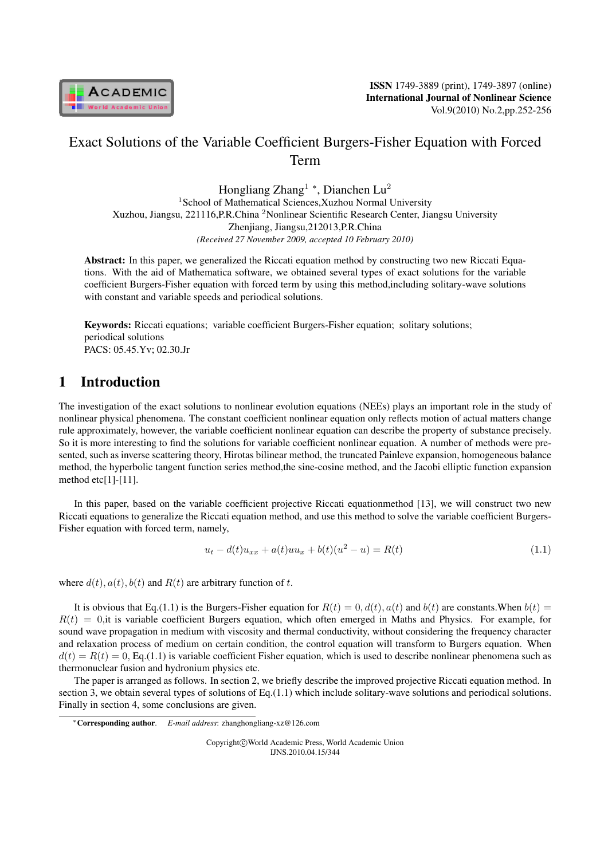

# Exact Solutions of the Variable Coefficient Burgers-Fisher Equation with Forced Term

Hongliang Zhang<sup>1</sup> *<sup>∗</sup>* , Dianchen Lu<sup>2</sup> <sup>1</sup>School of Mathematical Sciences, Xuzhou Normal University Xuzhou, Jiangsu, 221116,P.R.China <sup>2</sup>Nonlinear Scientific Research Center, Jiangsu University Zhenjiang, Jiangsu,212013,P.R.China *(Received 27 November 2009, accepted 10 February 2010)*

Abstract: In this paper, we generalized the Riccati equation method by constructing two new Riccati Equations. With the aid of Mathematica software, we obtained several types of exact solutions for the variable coefficient Burgers-Fisher equation with forced term by using this method,including solitary-wave solutions with constant and variable speeds and periodical solutions.

Keywords: Riccati equations; variable coefficient Burgers-Fisher equation; solitary solutions; periodical solutions PACS: 05.45.Yv; 02.30.Jr

### 1 Introduction

The investigation of the exact solutions to nonlinear evolution equations (NEEs) plays an important role in the study of nonlinear physical phenomena. The constant coefficient nonlinear equation only reflects motion of actual matters change rule approximately, however, the variable coefficient nonlinear equation can describe the property of substance precisely. So it is more interesting to find the solutions for variable coefficient nonlinear equation. A number of methods were presented, such as inverse scattering theory, Hirotas bilinear method, the truncated Painleve expansion, homogeneous balance method, the hyperbolic tangent function series method,the sine-cosine method, and the Jacobi elliptic function expansion method etc[1]-[11].

In this paper, based on the variable coefficient projective Riccati equationmethod [13], we will construct two new Riccati equations to generalize the Riccati equation method, and use this method to solve the variable coefficient Burgers-Fisher equation with forced term, namely,

$$
u_t - d(t)u_{xx} + a(t)uu_x + b(t)(u^2 - u) = R(t)
$$
\n(1.1)

where  $d(t)$ ,  $a(t)$ ,  $b(t)$  and  $R(t)$  are arbitrary function of t.

It is obvious that Eq.(1.1) is the Burgers-Fisher equation for  $R(t) = 0, d(t), a(t)$  and  $b(t)$  are constants. When  $b(t) = 0$  $R(t) = 0$ , it is variable coefficient Burgers equation, which often emerged in Maths and Physics. For example, for sound wave propagation in medium with viscosity and thermal conductivity, without considering the frequency character and relaxation process of medium on certain condition, the control equation will transform to Burgers equation. When  $d(t) = R(t) = 0$ , Eq.(1.1) is variable coefficient Fisher equation, which is used to describe nonlinear phenomena such as thermonuclear fusion and hydronium physics etc.

The paper is arranged as follows. In section 2, we briefly describe the improved projective Riccati equation method. In section 3, we obtain several types of solutions of Eq.(1.1) which include solitary-wave solutions and periodical solutions. Finally in section 4, some conclusions are given.

Copyright*⃝*c World Academic Press, World Academic Union IJNS.2010.04.15/344

*<sup>∗</sup>*Corresponding author. *E-mail address*: zhanghongliang-xz@126.com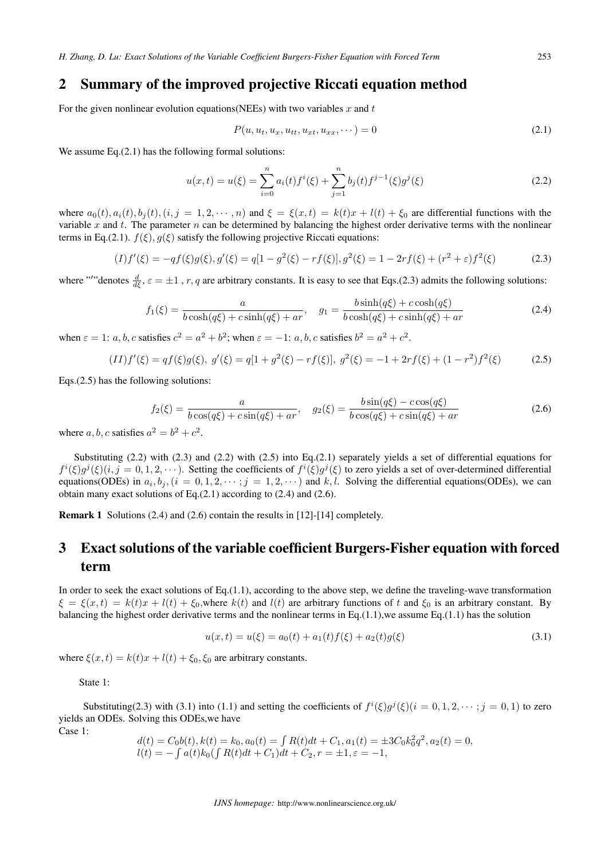### 2 Summary of the improved projective Riccati equation method

For the given nonlinear evolution equations (NEEs) with two variables  $x$  and  $t$ 

$$
P(u, u_t, u_x, u_{tt}, u_{xx}, \cdots) = 0
$$
\n(2.1)

We assume Eq.(2.1) has the following formal solutions:

$$
u(x,t) = u(\xi) = \sum_{i=0}^{n} a_i(t) f^i(\xi) + \sum_{j=1}^{n} b_j(t) f^{j-1}(\xi) g^j(\xi)
$$
\n(2.2)

where  $a_0(t), a_i(t), b_j(t), (i, j = 1, 2, \cdots, n)$  and  $\xi = \xi(x, t) = k(t)x + l(t) + \xi_0$  are differential functions with the variable  $x$  and  $t$ . The parameter  $n$  can be determined by balancing the highest order derivative terms with the nonlinear terms in Eq.(2.1).  $f(\xi)$ ,  $g(\xi)$  satisfy the following projective Riccati equations:

$$
(I)f'(\xi) = -qf(\xi)g(\xi), g'(\xi) = q[1 - g^2(\xi) - rf(\xi)], g^2(\xi) = 1 - 2rf(\xi) + (r^2 + \varepsilon)f^2(\xi)
$$
\n(2.3)

where "'"denotes  $\frac{d}{d\xi}$ ,  $\varepsilon = \pm 1$ , r, q are arbitrary constants. It is easy to see that Eqs.(2.3) admits the following solutions:

$$
f_1(\xi) = \frac{a}{b\cosh(q\xi) + c\sinh(q\xi) + ar}, \quad g_1 = \frac{b\sinh(q\xi) + c\cosh(q\xi)}{b\cosh(q\xi) + c\sinh(q\xi) + ar}
$$
(2.4)

when  $\varepsilon = 1$ : *a*, *b*, *c* satisfies  $c^2 = a^2 + b^2$ ; when  $\varepsilon = -1$ : *a*, *b*, *c* satisfies  $b^2 = a^2 + c^2$ .

$$
(II)f'(\xi) = qf(\xi)g(\xi), \ g'(\xi) = q[1 + g^2(\xi) - rf(\xi)], \ g^2(\xi) = -1 + 2rf(\xi) + (1 - r^2)f^2(\xi) \tag{2.5}
$$

Eqs.(2.5) has the following solutions:

$$
f_2(\xi) = \frac{a}{b\cos(q\xi) + c\sin(q\xi) + ar}, \quad g_2(\xi) = \frac{b\sin(q\xi) - c\cos(q\xi)}{b\cos(q\xi) + c\sin(q\xi) + ar}
$$
(2.6)

where  $a, b, c$  satisfies  $a^2 = b^2 + c^2$ .

Substituting  $(2.2)$  with  $(2.3)$  and  $(2.2)$  with  $(2.5)$  into Eq. $(2.1)$  separately yields a set of differential equations for  $f^i(\xi)g^j(\xi)(i, j = 0, 1, 2, \cdots)$ . Setting the coefficients of  $f^i(\xi)g^j(\xi)$  to zero yields a set of over-determined differential equations(ODEs) in  $a_i, b_j, (i = 0, 1, 2, \dots; j = 1, 2, \dots)$  and  $k, l$ . Solving the differential equations(ODEs), we can obtain many exact solutions of Eq.(2.1) according to (2.4) and (2.6).

Remark 1 Solutions (2.4) and (2.6) contain the results in [12]-[14] completely*.*

## 3 Exact solutions of the variable coefficient Burgers-Fisher equation with forced term

In order to seek the exact solutions of Eq.(1.1), according to the above step, we define the traveling-wave transformation  $\xi = \xi(x, t) = k(t)x + l(t) + \xi_0$ , where  $k(t)$  and  $l(t)$  are arbitrary functions of t and  $\xi_0$  is an arbitrary constant. By balancing the highest order derivative terms and the nonlinear terms in Eq.(1.1), we assume Eq.(1.1) has the solution

$$
u(x,t) = u(\xi) = a_0(t) + a_1(t)f(\xi) + a_2(t)g(\xi)
$$
\n(3.1)

where  $\xi(x, t) = k(t)x + l(t) + \xi_0, \xi_0$  are arbitrary constants.

State 1:

Substituting(2.3) with (3.1) into (1.1) and setting the coefficients of  $f^{i}(\xi)g^{j}(\xi)(i = 0, 1, 2, \cdots; j = 0, 1)$  to zero yields an ODEs. Solving this ODEs,we have Case 1:

$$
d(t) = C_0 b(t), k(t) = k_0, a_0(t) = \int R(t)dt + C_1, a_1(t) = \pm 3C_0 k_0^2 q^2, a_2(t) = 0,
$$
  

$$
l(t) = -\int a(t)k_0 (\int R(t)dt + C_1)dt + C_2, r = \pm 1, \varepsilon = -1,
$$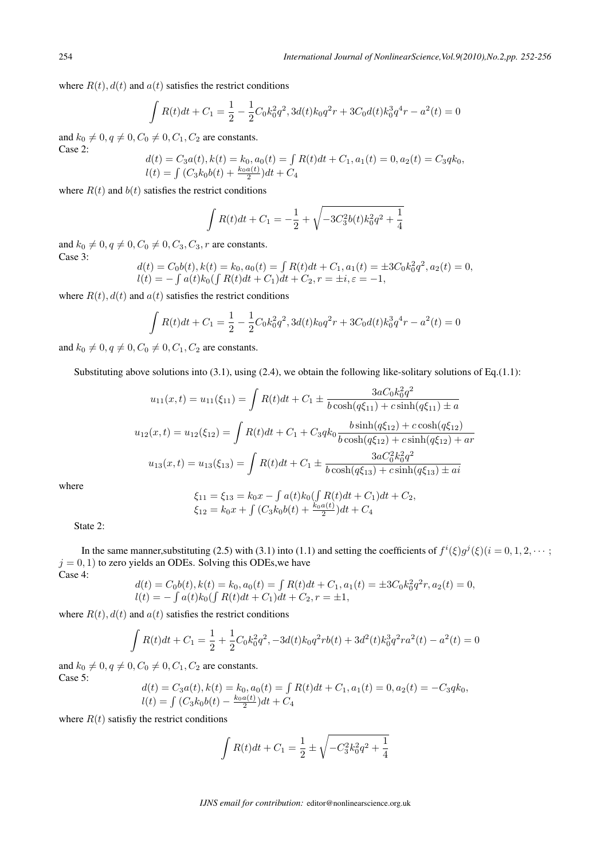where  $R(t)$ ,  $d(t)$  and  $a(t)$  satisfies the restrict conditions

$$
\int R(t)dt + C_1 = \frac{1}{2} - \frac{1}{2}C_0k_0^2q^2, 3d(t)k_0q^2r + 3C_0d(t)k_0^3q^4r - a^2(t) = 0
$$

and  $k_0 \neq 0, q \neq 0, C_0 \neq 0, C_1, C_2$  are constants. Case 2:

$$
d(t) = C_3 a(t), k(t) = k_0, a_0(t) = \int R(t)dt + C_1, a_1(t) = 0, a_2(t) = C_3 q k_0,
$$
  

$$
l(t) = \int (C_3 k_0 b(t) + \frac{k_0 a(t)}{2}) dt + C_4
$$

where  $R(t)$  and  $b(t)$  satisfies the restrict conditions

$$
\int R(t)dt + C_1 = -\frac{1}{2} + \sqrt{-3C_3^2b(t)k_0^2q^2 + \frac{1}{4}}
$$

and  $k_0 \neq 0, q \neq 0, C_0 \neq 0, C_3, C_3, r$  are constants. Case 3:

$$
d(t) = C_0 b(t), k(t) = k_0, a_0(t) = \int R(t)dt + C_1, a_1(t) = \pm 3C_0 k_0^2 q^2, a_2(t) = 0,
$$
  

$$
l(t) = -\int a(t)k_0 (\int R(t)dt + C_1)dt + C_2, r = \pm i, \varepsilon = -1,
$$

where  $R(t)$ ,  $d(t)$  and  $a(t)$  satisfies the restrict conditions

$$
\int R(t)dt + C_1 = \frac{1}{2} - \frac{1}{2}C_0k_0^2q^2, 3d(t)k_0q^2r + 3C_0d(t)k_0^3q^4r - a^2(t) = 0
$$

and  $k_0 \neq 0, q \neq 0, C_0 \neq 0, C_1, C_2$  are constants.

Substituting above solutions into  $(3.1)$ , using  $(2.4)$ , we obtain the following like-solitary solutions of Eq.(1.1):

$$
u_{11}(x,t) = u_{11}(\xi_{11}) = \int R(t)dt + C_1 \pm \frac{3aC_0k_0^2q^2}{b\cosh(q\xi_{11}) + c\sinh(q\xi_{11}) \pm a}
$$

$$
u_{12}(x,t) = u_{12}(\xi_{12}) = \int R(t)dt + C_1 + C_3qk_0 \frac{b\sinh(q\xi_{12}) + c\cosh(q\xi_{12})}{b\cosh(q\xi_{12}) + c\sinh(q\xi_{12}) + ar}
$$

$$
u_{13}(x,t) = u_{13}(\xi_{13}) = \int R(t)dt + C_1 \pm \frac{3aC_0^2k_0^2q^2}{b\cosh(q\xi_{13}) + c\sinh(q\xi_{13}) \pm ai}
$$

where

$$
\xi_{11} = \xi_{13} = k_0 x - \int a(t)k_0 \left(\int R(t)dt + C_1\right)dt + C_2,
$$
  
\n
$$
\xi_{12} = k_0 x + \int \left(C_3 k_0 b(t) + \frac{k_0 a(t)}{2}\right) dt + C_4
$$

State 2:

In the same manner, substituting (2.5) with (3.1) into (1.1) and setting the coefficients of  $f^{i}(\xi)g^{j}(\xi)(i=0,1,2,\cdots)$  $j = 0, 1$ ) to zero yields an ODEs. Solving this ODEs, we have Case 4:

$$
d(t) = C_0 b(t), k(t) = k_0, a_0(t) = \int R(t)dt + C_1, a_1(t) = \pm 3C_0 k_0^2 q^2 r, a_2(t) = 0,
$$
  

$$
l(t) = -\int a(t)k_0 (\int R(t)dt + C_1)dt + C_2, r = \pm 1,
$$

where  $R(t)$ ,  $d(t)$  and  $a(t)$  satisfies the restrict conditions

$$
\int R(t)dt + C_1 = \frac{1}{2} + \frac{1}{2}C_0k_0^2q^2, -3d(t)k_0q^2rb(t) + 3d^2(t)k_0^3q^2ra^2(t) - a^2(t) = 0
$$

and  $k_0 \neq 0, q \neq 0, C_0 \neq 0, C_1, C_2$  are constants. Case 5:

$$
d(t) = C_3 a(t), k(t) = k_0, a_0(t) = \int R(t)dt + C_1, a_1(t) = 0, a_2(t) = -C_3 q k_0,
$$
  

$$
l(t) = \int (C_3 k_0 b(t) - \frac{k_0 a(t)}{2}) dt + C_4
$$

where  $R(t)$  satisfiy the restrict conditions

$$
\int R(t)dt + C_1 = \frac{1}{2} \pm \sqrt{-C_3^2 k_0^2 q^2 + \frac{1}{4}}
$$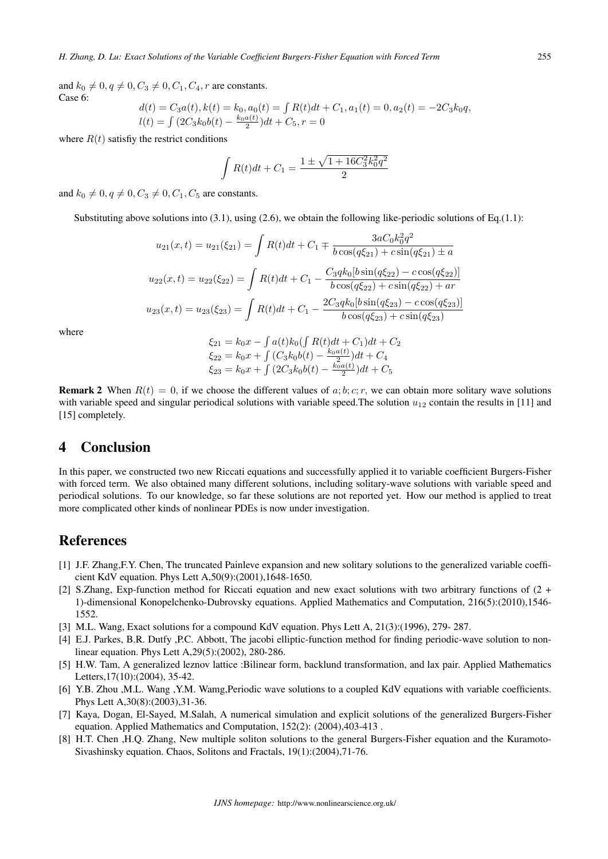and  $k_0 \neq 0, q \neq 0, C_3 \neq 0, C_1, C_4, r$  are constants. Case 6:

$$
d(t) = C_3 a(t), k(t) = k_0, a_0(t) = \int R(t)dt + C_1, a_1(t) = 0, a_2(t) = -2C_3k_0q,
$$
  

$$
l(t) = \int (2C_3k_0b(t) - \frac{k_0a(t)}{2})dt + C_5, r = 0
$$

where  $R(t)$  satisfiy the restrict conditions

$$
\int R(t)dt + C_1 = \frac{1 \pm \sqrt{1 + 16C_3^2 k_0^2 q^2}}{2}
$$

and  $k_0 \neq 0, q \neq 0, C_3 \neq 0, C_1, C_5$  are constants.

Substituting above solutions into  $(3.1)$ , using  $(2.6)$ , we obtain the following like-periodic solutions of Eq.(1.1):

$$
u_{21}(x,t) = u_{21}(\xi_{21}) = \int R(t)dt + C_1 \mp \frac{3aC_0k_0^2q^2}{b\cos(q\xi_{21}) + c\sin(q\xi_{21}) \pm a}
$$
  

$$
u_{22}(x,t) = u_{22}(\xi_{22}) = \int R(t)dt + C_1 - \frac{C_3qk_0[b\sin(q\xi_{22}) - c\cos(q\xi_{22})]}{b\cos(q\xi_{22}) + c\sin(q\xi_{22}) + ar}
$$
  

$$
u_{23}(x,t) = u_{23}(\xi_{23}) = \int R(t)dt + C_1 - \frac{2C_3qk_0[b\sin(q\xi_{23}) - c\cos(q\xi_{23})]}{b\cos(q\xi_{23}) + c\sin(q\xi_{23})}
$$

where

$$
\xi_{21} = k_0 x - \int a(t)k_0 \left(\int R(t)dt + C_1\right)dt + C_2
$$
  
\n
$$
\xi_{22} = k_0 x + \int \left(C_3 k_0 b(t) - \frac{k_0 a(t)}{2}\right)dt + C_4
$$
  
\n
$$
\xi_{23} = k_0 x + \int \left(2C_3 k_0 b(t) - \frac{k_0 a(t)}{2}\right)dt + C_5
$$

**Remark 2** When  $R(t) = 0$ , if we choose the different values of a; b; c; r, we can obtain more solitary wave solutions with variable speed and singular periodical solutions with variable speed. The solution  $u_{12}$  contain the results in [11] and [15] completely.

#### 4 Conclusion

In this paper, we constructed two new Riccati equations and successfully applied it to variable coefficient Burgers-Fisher with forced term. We also obtained many different solutions, including solitary-wave solutions with variable speed and periodical solutions. To our knowledge, so far these solutions are not reported yet. How our method is applied to treat more complicated other kinds of nonlinear PDEs is now under investigation.

#### References

- [1] J.F. Zhang,F.Y. Chen, The truncated Painleve expansion and new solitary solutions to the generalized variable coefficient KdV equation. Phys Lett A,50(9):(2001),1648-1650.
- [2] S.Zhang, Exp-function method for Riccati equation and new exact solutions with two arbitrary functions of (2 + 1)-dimensional Konopelchenko-Dubrovsky equations. Applied Mathematics and Computation, 216(5):(2010),1546- 1552.
- [3] M.L. Wang, Exact solutions for a compound KdV equation. Phys Lett A, 21(3):(1996), 279- 287.
- [4] E.J. Parkes, B.R. Dutfy ,P.C. Abbott, The jacobi elliptic-function method for finding periodic-wave solution to nonlinear equation. Phys Lett A,29(5):(2002), 280-286.
- [5] H.W. Tam, A generalized leznov lattice :Bilinear form, backlund transformation, and lax pair. Applied Mathematics Letters,17(10):(2004), 35-42.
- [6] Y.B. Zhou ,M.L. Wang ,Y.M. Wamg,Periodic wave solutions to a coupled KdV equations with variable coefficients. Phys Lett A,30(8):(2003),31-36.
- [7] Kaya, Dogan, El-Sayed, M.Salah, A numerical simulation and explicit solutions of the generalized Burgers-Fisher equation. Applied Mathematics and Computation, 152(2): (2004),403-413 .
- [8] H.T. Chen ,H.Q. Zhang, New multiple soliton solutions to the general Burgers-Fisher equation and the Kuramoto-Sivashinsky equation. Chaos, Solitons and Fractals, 19(1):(2004),71-76.